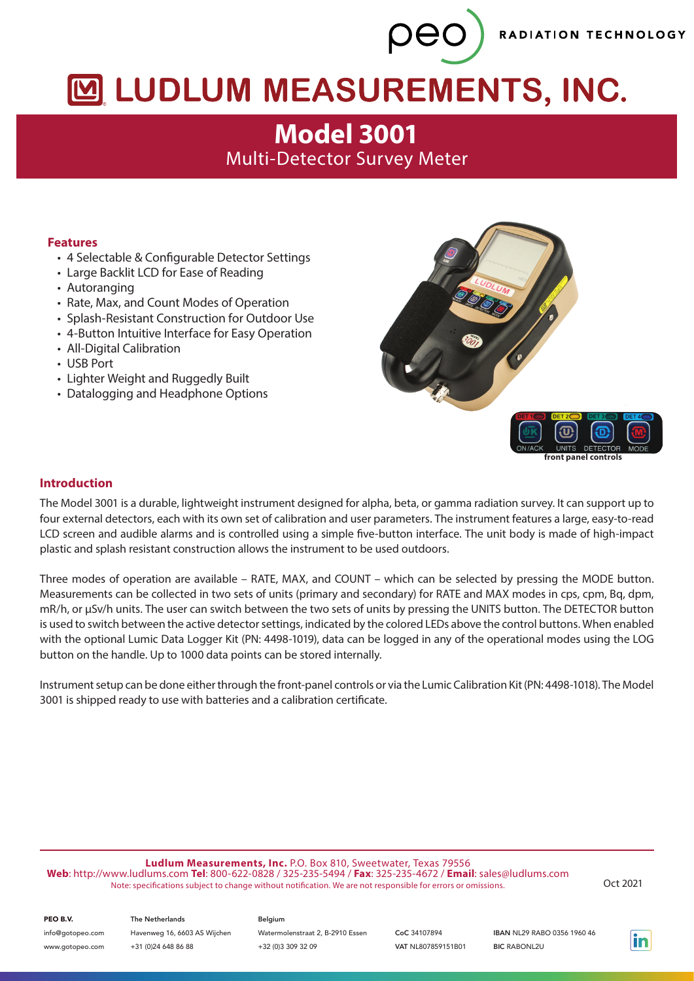RADIATION TECHNOLOGY

# M LUDLUM MEASUREMENTS, INC.

peo

**Model 3001** Multi-Detector Survey Meter

# **Features**

- 4 Selectable & Configurable Detector Settings
- Large Backlit LCD for Ease of Reading
- Autoranging
- Rate, Max, and Count Modes of Operation
- Splash-Resistant Construction for Outdoor Use
- 4-Button Intuitive Interface for Easy Operation
- All-Digital Calibration
- USB Port
- Lighter Weight and Ruggedly Built
- Datalogging and Headphone Options



## **Introduction**

The Model 3001 is a durable, lightweight instrument designed for alpha, beta, or gamma radiation survey. It can support up to four external detectors, each with its own set of calibration and user parameters. The instrument features a large, easy-to-read LCD screen and audible alarms and is controlled using a simple five-button interface. The unit body is made of high-impact plastic and splash resistant construction allows the instrument to be used outdoors.

Three modes of operation are available – RATE, MAX, and COUNT – which can be selected by pressing the MODE button. Measurements can be collected in two sets of units (primary and secondary) for RATE and MAX modes in cps, cpm, Bq, dpm, mR/h, or µSv/h units. The user can switch between the two sets of units by pressing the UNITS button. The DETECTOR button is used to switch between the active detector settings, indicated by the colored LEDs above the control buttons. When enabled with the optional Lumic Data Logger Kit (PN: 4498-1019), data can be logged in any of the operational modes using the LOG button on the handle. Up to 1000 data points can be stored internally.

Instrument setup can be done either through the front-panel controls or via the Lumic Calibration Kit (PN: 4498-1018). The Model 3001 is shipped ready to use with batteries and a calibration certificate.

**Ludlum Measurements, Inc.** P.O. Box 810, Sweetwater, Texas 79556 **Web**: http://www.ludlums.com **Tel**: 800-622-0828 / 325-235-5494 / **Fax**: 325-235-4672 / **Email**: sales@ludlums.com Note: specifications subject to change without notification. We are not responsible for errors or omissions. Oct 2021

| PEO B.V.         | <b>The Netherlands</b>       | Belgium                          |                    |                                    |
|------------------|------------------------------|----------------------------------|--------------------|------------------------------------|
| info@gotopeo.com | Havenweg 16, 6603 AS Wijchen | Watermolenstraat 2, B-2910 Essen | CoC 34107894       | <b>IBAN NL29 RABO 0356 1960 46</b> |
| www.gotopeo.com  | +31 (0)24 648 86 88          | +32 (0)3 309 32 09               | VAT NL807859151B01 | <b>BIC RABONL2U</b>                |